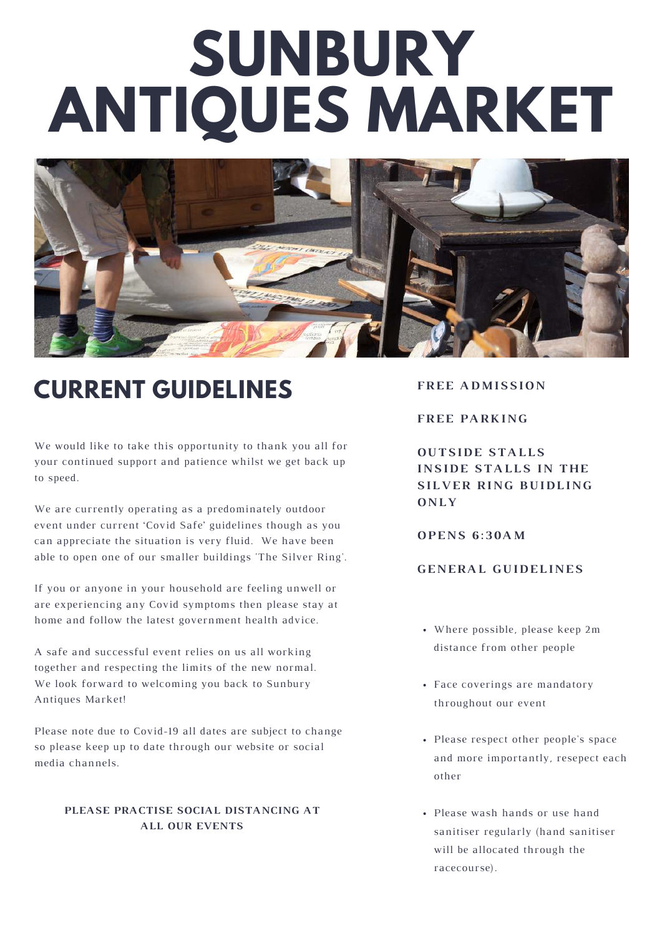# **SUNBURY ANTIQUES MARKET**



# **CURRENT GUIDELINES**

We would like to take this opportunity to thank you all for your continued support and patience whilst we get back up to speed.

We are currently operating as a predominately outdoor event under current 'Covid Safe' guidelines though as you can appreciate the situation is very fluid. We have been able to open one of our smaller buildings 'The Silver Ring'.

If you or anyone in your household are feeling unwell or are experiencing any Covid symptoms then please stay at home and follow the latest government health advice.

A safe and successful event relies on us all working together and respecting the limits of the new normal. We look forward to welcoming you back to Sunbury Antiques Market!

Please note due to Covid-19 all dates are subject to change so please keep up to date through our website or social media channels.

#### **PLEASE PRACTISE SOCIAL DISTANCING AT ALL OUR EVENTS**

**FREE ADMISSION** 

**FREE PARKING** 

**OUTSIDE STALLS INSIDE STALLS IN THE SILVER RING BUIDLING O N L Y**

**O P E N S 6 : 3 0 A M**

## **G E N E R A L G U I D E L I N E S**

- Where possible, please keep 2m distance from other people
- Face coverings are mandatory throughout our event
- Please respect other people's space and more importantly, resepect each other
- Please wash hands or use hand sanitiser regularly (hand sanitiser will be allocated through the racecourse).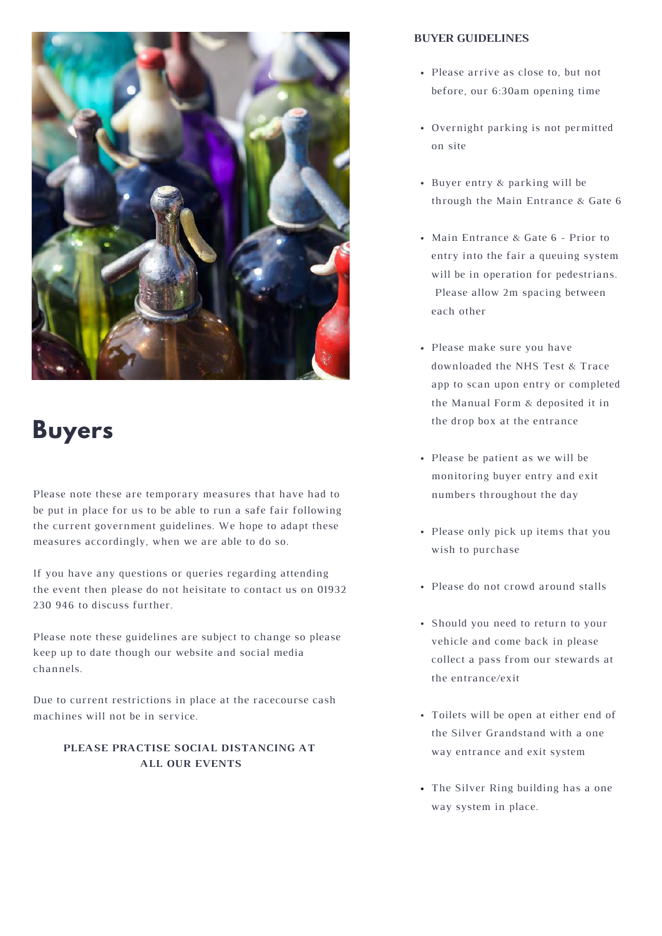

## **Buyers**

Please note these are temporary measures that have had to be put in place for us to be able to run a safe fair following the current government guidelines. We hope to adapt these measures accordingly, when we are able to do so.

If you have any questions or queries regarding attending the event then please do not heisitate to contact us on 01932 230 946 to discuss further.

Please note these guidelines are subject to change so please keep up to date though our website and social media channels.

Due to current restrictions in place at the racecourse cash machines will not be in service.

### **PLEASE PRACTISE SOCIAL DISTANCING AT ALL OUR EVENTS**

#### **BUYER GUIDELINES**

- Please arrive as close to, but not before, our 6:30am opening time
- Overnight parking is not permitted on site
- Buyer entry & parking will be through the Main Entrance & Gate 6
- Main Entrance & Gate 6 Prior to entry into the fair a queuing system will be in operation for pedestrians. Please allow 2m spacing between each other
- Please make sure you have downloaded the NHS Test & Trace app to scan upon entry or completed the Manual Form & deposited it in the drop box at the entrance
- Please be patient as we will be monitoring buyer entry and exit numbers throughout the day
- Please only pick up items that you wish to purchase
- Please do not crowd around stalls
- Should you need to return to your vehicle and come back in please collect a pass from our stewards at the entrance/exit
- Toilets will be open at either end of the Silver Grandstand with a one way entrance and exit system
- The Silver Ring building has a one way system in place.